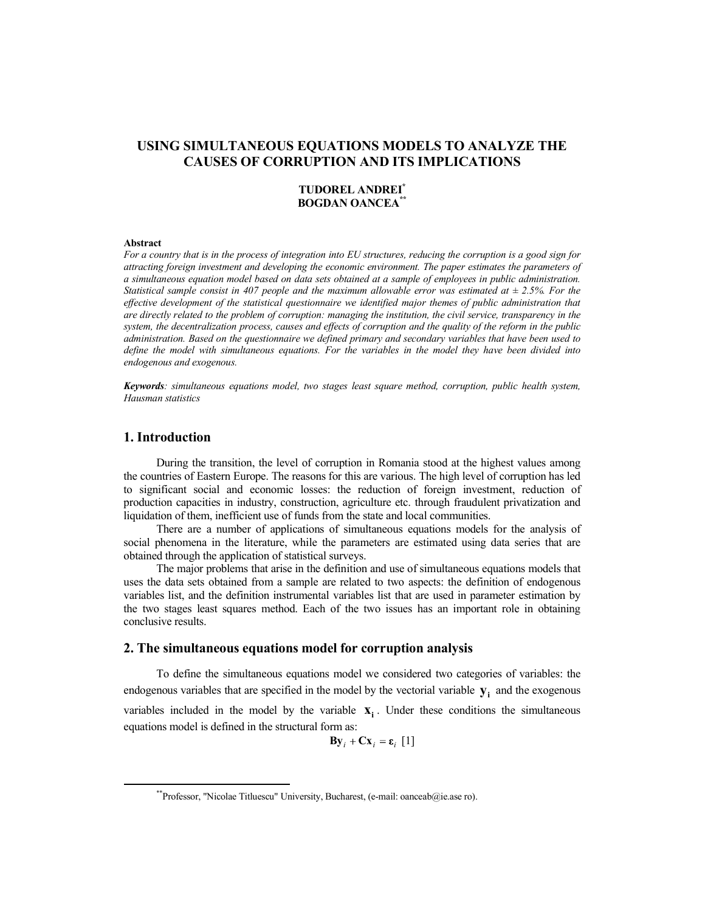## **USING SIMULTANEOUS EQUATIONS MODELS TO ANALYZE THE CAUSES OF CORRUPTION AND ITS IMPLICATIONS**

### **TUDOREL ANDREI\* BOGDAN OANCEA\*\***

#### **Abstract**

*For a country that is in the process of integration into EU structures, reducing the corruption is a good sign for attracting foreign investment and developing the economic environment. The paper estimates the parameters of a simultaneous equation model based on data sets obtained at a sample of employees in public administration. Statistical sample consist in 407 people and the maximum allowable error was estimated at ± 2.5%. For the*  effective development of the statistical questionnaire we identified major themes of public administration that *are directly related to the problem of corruption: managing the institution, the civil service, transparency in the system, the decentralization process, causes and effects of corruption and the quality of the reform in the public administration. Based on the questionnaire we defined primary and secondary variables that have been used to define the model with simultaneous equations. For the variables in the model they have been divided into endogenous and exogenous.* 

*Keywords: simultaneous equations model, two stages least square method, corruption, public health system, Hausman statistics* 

### **1. Introduction**

During the transition, the level of corruption in Romania stood at the highest values among the countries of Eastern Europe. The reasons for this are various. The high level of corruption has led to significant social and economic losses: the reduction of foreign investment, reduction of production capacities in industry, construction, agriculture etc. through fraudulent privatization and liquidation of them, inefficient use of funds from the state and local communities.

There are a number of applications of simultaneous equations models for the analysis of social phenomena in the literature, while the parameters are estimated using data series that are obtained through the application of statistical surveys.

The major problems that arise in the definition and use of simultaneous equations models that uses the data sets obtained from a sample are related to two aspects: the definition of endogenous variables list, and the definition instrumental variables list that are used in parameter estimation by the two stages least squares method. Each of the two issues has an important role in obtaining conclusive results.

### **2. The simultaneous equations model for corruption analysis**

To define the simultaneous equations model we considered two categories of variables: the endogenous variables that are specified in the model by the vectorial variable **y<sup>i</sup>** and the exogenous variables included in the model by the variable  $\mathbf{x}_i$ . Under these conditions the simultaneous equations model is defined in the structural form as:

 $\mathbf{By}_i + \mathbf{Cx}_i = \varepsilon_i [1]$ 

<sup>\*\*</sup>Professor, "Nicolae Titluescu" University, Bucharest, (e-mail: oanceab@ie.ase ro).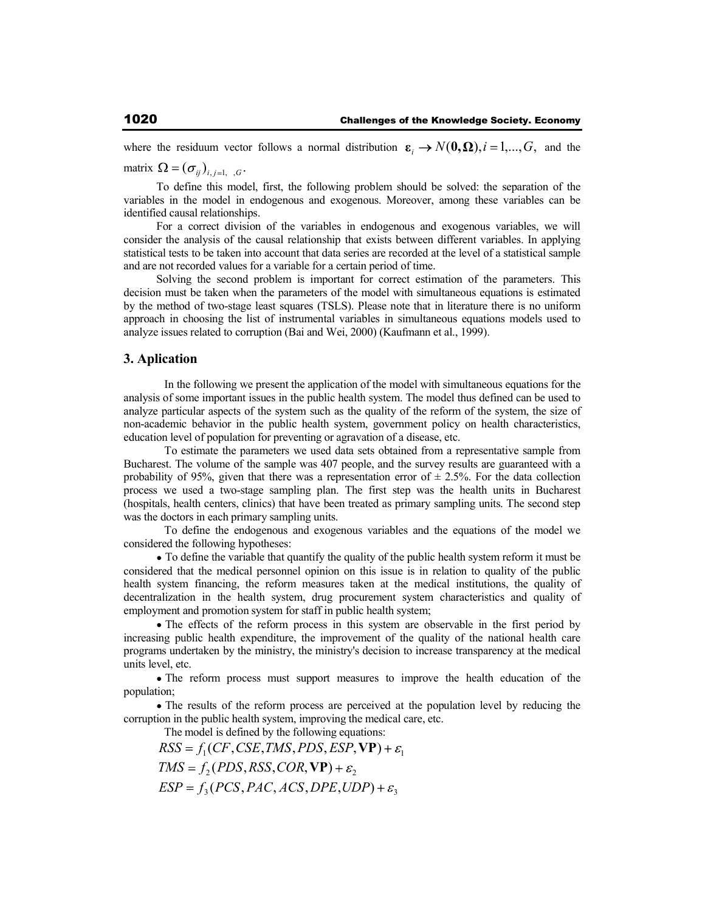where the residuum vector follows a normal distribution  $\varepsilon_i \to N(0, \Omega), i = 1,...,G$ , and the

matrix  $\Omega = (\sigma_{ij})_{i,j=1,\dots,G}$ .

To define this model, first, the following problem should be solved: the separation of the variables in the model in endogenous and exogenous. Moreover, among these variables can be identified causal relationships.

For a correct division of the variables in endogenous and exogenous variables, we will consider the analysis of the causal relationship that exists between different variables. In applying statistical tests to be taken into account that data series are recorded at the level of a statistical sample and are not recorded values for a variable for a certain period of time.

Solving the second problem is important for correct estimation of the parameters. This decision must be taken when the parameters of the model with simultaneous equations is estimated by the method of two-stage least squares (TSLS). Please note that in literature there is no uniform approach in choosing the list of instrumental variables in simultaneous equations models used to analyze issues related to corruption (Bai and Wei, 2000) (Kaufmann et al., 1999).

### **3. Aplication**

 In the following we present the application of the model with simultaneous equations for the analysis of some important issues in the public health system. The model thus defined can be used to analyze particular aspects of the system such as the quality of the reform of the system, the size of non-academic behavior in the public health system, government policy on health characteristics, education level of population for preventing or agravation of a disease, etc.

 To estimate the parameters we used data sets obtained from a representative sample from Bucharest. The volume of the sample was 407 people, and the survey results are guaranteed with a probability of 95%, given that there was a representation error of  $\pm$  2.5%. For the data collection process we used a two-stage sampling plan. The first step was the health units in Bucharest (hospitals, health centers, clinics) that have been treated as primary sampling units. The second step was the doctors in each primary sampling units.

 To define the endogenous and exogenous variables and the equations of the model we considered the following hypotheses:

To define the variable that quantify the quality of the public health system reform it must be considered that the medical personnel opinion on this issue is in relation to quality of the public health system financing, the reform measures taken at the medical institutions, the quality of decentralization in the health system, drug procurement system characteristics and quality of employment and promotion system for staff in public health system;

• The effects of the reform process in this system are observable in the first period by increasing public health expenditure, the improvement of the quality of the national health care programs undertaken by the ministry, the ministry's decision to increase transparency at the medical units level, etc.

The reform process must support measures to improve the health education of the population;

• The results of the reform process are perceived at the population level by reducing the corruption in the public health system, improving the medical care, etc.

The model is defined by the following equations:

 $RSS = f_i(CF, CSE, TMS, PDS, ESP, VP) + \varepsilon_i$  $TMS = f_2(PDS, RSS, COR, VP) + \varepsilon_2$  $ESP = f_2(PCS, PAC,ACS, DPE, UDP) + \varepsilon_2$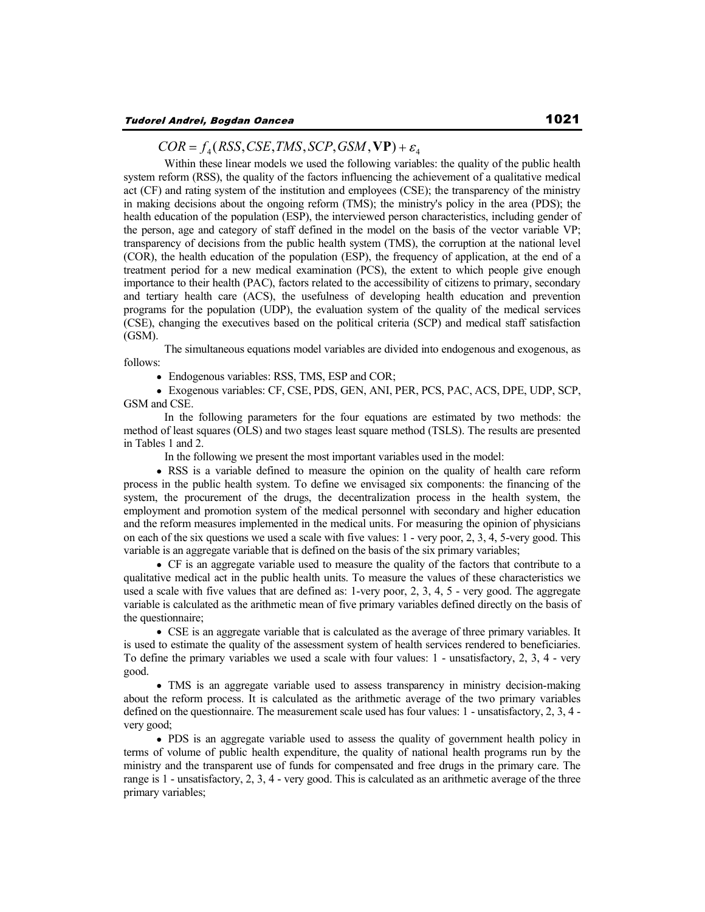### $COR = f_A(RSS, CSE, TMS, SCP, GSM, VP) + \varepsilon_A$

 Within these linear models we used the following variables: the quality of the public health system reform (RSS), the quality of the factors influencing the achievement of a qualitative medical act (CF) and rating system of the institution and employees (CSE); the transparency of the ministry in making decisions about the ongoing reform (TMS); the ministry's policy in the area (PDS); the health education of the population (ESP), the interviewed person characteristics, including gender of the person, age and category of staff defined in the model on the basis of the vector variable VP; transparency of decisions from the public health system (TMS), the corruption at the national level (COR), the health education of the population (ESP), the frequency of application, at the end of a treatment period for a new medical examination (PCS), the extent to which people give enough importance to their health (PAC), factors related to the accessibility of citizens to primary, secondary and tertiary health care (ACS), the usefulness of developing health education and prevention programs for the population (UDP), the evaluation system of the quality of the medical services (CSE), changing the executives based on the political criteria (SCP) and medical staff satisfaction (GSM).

 The simultaneous equations model variables are divided into endogenous and exogenous, as follows:

• Endogenous variables: RSS, TMS, ESP and COR;

Exogenous variables: CF, CSE, PDS, GEN, ANI, PER, PCS, PAC, ACS, DPE, UDP, SCP, GSM and CSE.

 In the following parameters for the four equations are estimated by two methods: the method of least squares (OLS) and two stages least square method (TSLS). The results are presented in Tables 1 and 2.

In the following we present the most important variables used in the model:

RSS is a variable defined to measure the opinion on the quality of health care reform process in the public health system. To define we envisaged six components: the financing of the system, the procurement of the drugs, the decentralization process in the health system, the employment and promotion system of the medical personnel with secondary and higher education and the reform measures implemented in the medical units. For measuring the opinion of physicians on each of the six questions we used a scale with five values: 1 - very poor, 2, 3, 4, 5-very good. This variable is an aggregate variable that is defined on the basis of the six primary variables;

CF is an aggregate variable used to measure the quality of the factors that contribute to a qualitative medical act in the public health units. To measure the values of these characteristics we used a scale with five values that are defined as: 1-very poor, 2, 3, 4, 5 - very good. The aggregate variable is calculated as the arithmetic mean of five primary variables defined directly on the basis of the questionnaire;

CSE is an aggregate variable that is calculated as the average of three primary variables. It is used to estimate the quality of the assessment system of health services rendered to beneficiaries. To define the primary variables we used a scale with four values: 1 - unsatisfactory, 2, 3, 4 - very good.

TMS is an aggregate variable used to assess transparency in ministry decision-making about the reform process. It is calculated as the arithmetic average of the two primary variables defined on the questionnaire. The measurement scale used has four values: 1 - unsatisfactory, 2, 3, 4 very good;

PDS is an aggregate variable used to assess the quality of government health policy in terms of volume of public health expenditure, the quality of national health programs run by the ministry and the transparent use of funds for compensated and free drugs in the primary care. The range is 1 - unsatisfactory, 2, 3, 4 - very good. This is calculated as an arithmetic average of the three primary variables;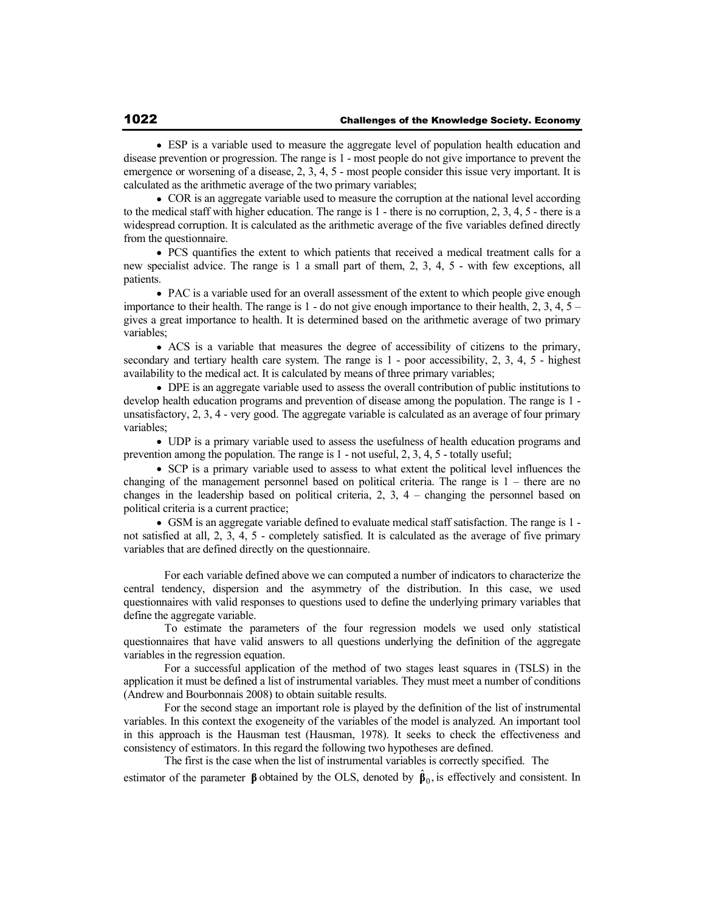ESP is a variable used to measure the aggregate level of population health education and disease prevention or progression. The range is 1 - most people do not give importance to prevent the emergence or worsening of a disease, 2, 3, 4, 5 - most people consider this issue very important. It is calculated as the arithmetic average of the two primary variables;

COR is an aggregate variable used to measure the corruption at the national level according to the medical staff with higher education. The range is  $1$  - there is no corruption, 2, 3, 4, 5 - there is a widespread corruption. It is calculated as the arithmetic average of the five variables defined directly from the questionnaire.

PCS quantifies the extent to which patients that received a medical treatment calls for a new specialist advice. The range is 1 a small part of them, 2, 3, 4, 5 - with few exceptions, all patients.

PAC is a variable used for an overall assessment of the extent to which people give enough importance to their health. The range is  $1$  - do not give enough importance to their health,  $2, 3, 4, 5$  – gives a great importance to health. It is determined based on the arithmetic average of two primary variables;

ACS is a variable that measures the degree of accessibility of citizens to the primary, secondary and tertiary health care system. The range is 1 - poor accessibility, 2, 3, 4, 5 - highest availability to the medical act. It is calculated by means of three primary variables;

DPE is an aggregate variable used to assess the overall contribution of public institutions to develop health education programs and prevention of disease among the population. The range is 1 unsatisfactory, 2, 3, 4 - very good. The aggregate variable is calculated as an average of four primary variables;

UDP is a primary variable used to assess the usefulness of health education programs and prevention among the population. The range is 1 - not useful, 2, 3, 4, 5 - totally useful;

SCP is a primary variable used to assess to what extent the political level influences the changing of the management personnel based on political criteria. The range is 1 – there are no changes in the leadership based on political criteria, 2, 3, 4 – changing the personnel based on political criteria is a current practice;

GSM is an aggregate variable defined to evaluate medical staff satisfaction. The range is 1 not satisfied at all, 2, 3, 4, 5 - completely satisfied. It is calculated as the average of five primary variables that are defined directly on the questionnaire.

 For each variable defined above we can computed a number of indicators to characterize the central tendency, dispersion and the asymmetry of the distribution. In this case, we used questionnaires with valid responses to questions used to define the underlying primary variables that define the aggregate variable.

 To estimate the parameters of the four regression models we used only statistical questionnaires that have valid answers to all questions underlying the definition of the aggregate variables in the regression equation.

 For a successful application of the method of two stages least squares in (TSLS) in the application it must be defined a list of instrumental variables. They must meet a number of conditions (Andrew and Bourbonnais 2008) to obtain suitable results.

 For the second stage an important role is played by the definition of the list of instrumental variables. In this context the exogeneity of the variables of the model is analyzed. An important tool in this approach is the Hausman test (Hausman, 1978). It seeks to check the effectiveness and consistency of estimators. In this regard the following two hypotheses are defined.

 The first is the case when the list of instrumental variables is correctly specified. The estimator of the parameter  $\beta$  obtained by the OLS, denoted by  $\hat{\beta}_0$ , is effectively and consistent. In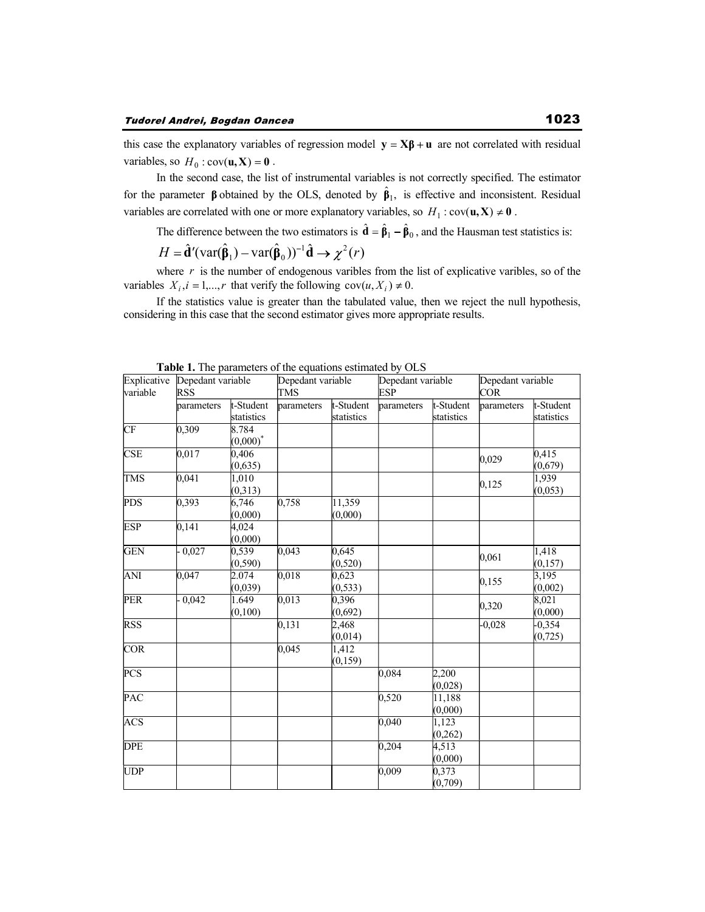this case the explanatory variables of regression model  $\mathbf{y} = \mathbf{X}\boldsymbol{\beta} + \mathbf{u}$  are not correlated with residual variables, so  $H_0$ : cov( $\mathbf{u}, \mathbf{X}$ ) = 0.

In the second case, the list of instrumental variables is not correctly specified. The estimator for the parameter  $\beta$  obtained by the OLS, denoted by  $\hat{\beta}_1$ , is effective and inconsistent. Residual variables are correlated with one or more explanatory variables, so  $H_1$ :  $cov(\mathbf{u}, \mathbf{X}) \neq \mathbf{0}$ .

The difference between the two estimators is  $\hat{\mathbf{d}} = \hat{\mathbf{\beta}}_1 - \hat{\mathbf{\beta}}_0$ , and the Hausman test statistics is:

$$
H = \hat{\mathbf{d}}'(\text{var}(\hat{\mathbf{\beta}}_1) - \text{var}(\hat{\mathbf{\beta}}_0))^{-1}\hat{\mathbf{d}} \to \chi^2(r)
$$

where  $r$  is the number of endogenous varibles from the list of explicative varibles, so of the variables  $X_i$ ,  $i = 1,...,r$  that verify the following  $cov(u, X_i) \neq 0$ .

If the statistics value is greater than the tabulated value, then we reject the null hypothesis, considering in this case that the second estimator gives more appropriate results.

| Explicative<br>variable | Depedant variable<br><b>RSS</b> |                         | Depedant variable<br><b>TMS</b> |                         | Depedant variable<br>ESP |                         | Depedant variable<br><b>COR</b> |                           |
|-------------------------|---------------------------------|-------------------------|---------------------------------|-------------------------|--------------------------|-------------------------|---------------------------------|---------------------------|
|                         | parameters                      | t-Student<br>statistics | parameters                      | t-Student<br>statistics | parameters               | t-Student<br>statistics | parameters                      | t-Student<br>statistics   |
| CF                      | 0,309                           | 8.784<br>$(0,000)^*$    |                                 |                         |                          |                         |                                 |                           |
| <b>CSE</b>              | 0,017                           | 0,406<br>(0,635)        |                                 |                         |                          |                         | 0,029                           | 0,415<br>(0,679)          |
| <b>TMS</b>              | 0,041                           | 1,010<br>(0,313)        |                                 |                         |                          |                         | 0,125                           | 1,939<br>(0,053)          |
| <b>PDS</b>              | 0,393                           | 6,746<br>(0,000)        | 0,758                           | 11,359<br>(0,000)       |                          |                         |                                 |                           |
| <b>ESP</b>              | 0,141                           | 4,024<br>(0,000)        |                                 |                         |                          |                         |                                 |                           |
| <b>GEN</b>              | $-0,027$                        | 0,539<br>(0, 590)       | 0,043                           | 0,645<br>(0, 520)       |                          |                         | 0,061                           | 1,418<br>(0, 157)         |
| ANI                     | 0,047                           | 2.074<br>(0,039)        | 0,018                           | 0,623<br>(0, 533)       |                          |                         | 0,155                           | 3,195<br>(0,002)          |
| <b>PER</b>              | $-0,042$                        | 1.649<br>(0,100)        | 0,013                           | 0,396<br>(0,692)        |                          |                         | 0,320                           | $\sqrt{8,021}$<br>(0,000) |
| <b>RSS</b>              |                                 |                         | 0,131                           | 2,468<br>(0,014)        |                          |                         | $-0,028$                        | $-0,354$<br>(0, 725)      |
| <b>COR</b>              |                                 |                         | 0,045                           | 1,412<br>(0, 159)       |                          |                         |                                 |                           |
| <b>PCS</b>              |                                 |                         |                                 |                         | 0,084                    | 2,200<br>(0,028)        |                                 |                           |
| <b>PAC</b>              |                                 |                         |                                 |                         | 0,520                    | 11,188<br>(0,000)       |                                 |                           |
| <b>ACS</b>              |                                 |                         |                                 |                         | 0,040                    | 1,123<br>(0, 262)       |                                 |                           |
| <b>DPE</b>              |                                 |                         |                                 |                         | 0,204                    | 4,513<br>(0,000)        |                                 |                           |
| <b>UDP</b>              |                                 |                         |                                 |                         | 0,009                    | 0,373<br>(0,709)        |                                 |                           |

**Table 1.** The parameters of the equations estimated by OLS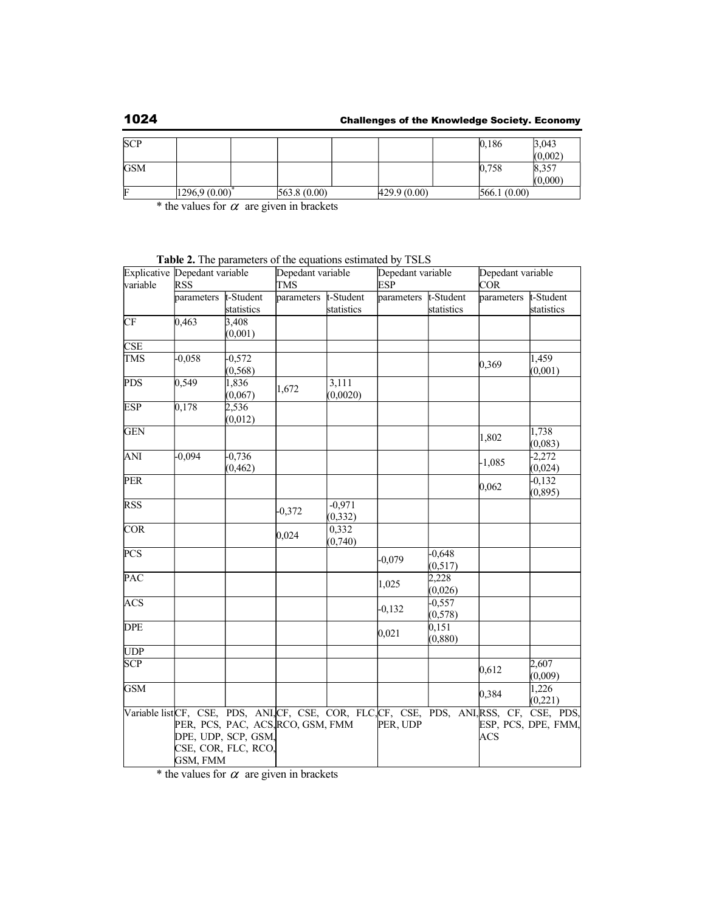# 1024 Challenges of the Knowledge Society. Economy

| <b>SCP</b> |              |              |              | 0,186        | 3,043   |
|------------|--------------|--------------|--------------|--------------|---------|
|            |              |              |              |              | (0,002) |
| <b>GSM</b> |              |              |              | 0,758        | 8,357   |
|            |              |              |              |              | (0,000) |
| F          | 1296.9(0.00) | 563.8 (0.00) | 429.9 (0.00) | 566.1 (0.00) |         |

\* the values for  $\alpha$  are given in brackets

| variable   | Explicative Depedant variable<br><b>RSS</b> |                                                                                 | Depedant variable<br><b>TMS</b> |                         | Depedant variable<br><b>ESP</b> |                         | Depedant variable<br><b>COR</b> |                                                                                                               |
|------------|---------------------------------------------|---------------------------------------------------------------------------------|---------------------------------|-------------------------|---------------------------------|-------------------------|---------------------------------|---------------------------------------------------------------------------------------------------------------|
|            | parameters                                  | t-Student<br>statistics                                                         | parameters                      | t-Student<br>statistics | parameters                      | t-Student<br>statistics | parameters                      | t-Student<br>statistics                                                                                       |
| CF         | 0,463                                       | 3,408<br>(0,001)                                                                |                                 |                         |                                 |                         |                                 |                                                                                                               |
| <b>CSE</b> |                                             |                                                                                 |                                 |                         |                                 |                         |                                 |                                                                                                               |
| <b>TMS</b> | $-0,058$                                    | $-0,572$<br>(0, 568)                                                            |                                 |                         |                                 |                         | 0,369                           | 1,459<br>(0,001)                                                                                              |
| <b>PDS</b> | 0,549                                       | 1,836<br>(0,067)                                                                | 1,672                           | 3,111<br>(0,0020)       |                                 |                         |                                 |                                                                                                               |
| <b>ESP</b> | 0,178                                       | 2,536<br>(0,012)                                                                |                                 |                         |                                 |                         |                                 |                                                                                                               |
| <b>GEN</b> |                                             |                                                                                 |                                 |                         |                                 |                         | 1,802                           | 1,738<br>(0,083)                                                                                              |
| ANI        | $-0,094$                                    | $-0,736$<br>(0, 462)                                                            |                                 |                         |                                 |                         | $-1,085$                        | $-2,272$<br>(0,024)                                                                                           |
| <b>PER</b> |                                             |                                                                                 |                                 |                         |                                 |                         | 0,062                           | $-0,132$<br>(0, 895)                                                                                          |
| <b>RSS</b> |                                             |                                                                                 | $-0,372$                        | $-0,971$<br>(0, 332)    |                                 |                         |                                 |                                                                                                               |
| COR        |                                             |                                                                                 | 0,024                           | 0,332<br>(0, 740)       |                                 |                         |                                 |                                                                                                               |
| <b>PCS</b> |                                             |                                                                                 |                                 |                         | $-0,079$                        | $-0,648$<br>(0, 517)    |                                 |                                                                                                               |
| PAC        |                                             |                                                                                 |                                 |                         | 1,025                           | 2,228<br>(0,026)        |                                 |                                                                                                               |
| <b>ACS</b> |                                             |                                                                                 |                                 |                         | $-0,132$                        | $-0,557$<br>(0, 578)    |                                 |                                                                                                               |
| <b>DPE</b> |                                             |                                                                                 |                                 |                         | 0,021                           | 0,151<br>(0, 880)       |                                 |                                                                                                               |
| <b>UDP</b> |                                             |                                                                                 |                                 |                         |                                 |                         |                                 |                                                                                                               |
| <b>SCP</b> |                                             |                                                                                 |                                 |                         |                                 |                         | 0,612                           | 2,607<br>(0,009)                                                                                              |
| <b>GSM</b> |                                             |                                                                                 |                                 |                         |                                 |                         | 0,384                           | 1,226<br>(0, 221)                                                                                             |
|            | GSM, FMM                                    | PER, PCS, PAC, ACS, RCO, GSM, FMM<br>DPE, UDP, SCP, GSM,<br>CSE, COR, FLC, RCO, |                                 |                         | PER, UDP                        |                         | <b>ACS</b>                      | Variable list CF, CSE, PDS, ANL CF, CSE, COR, FLC CF, CSE, PDS, ANL RSS, CF, CSE, PDS,<br>ESP, PCS, DPE, FMM, |

**Table 2.** The parameters of the equations estimated by TSLS

\* the values for  $\alpha$  are given in brackets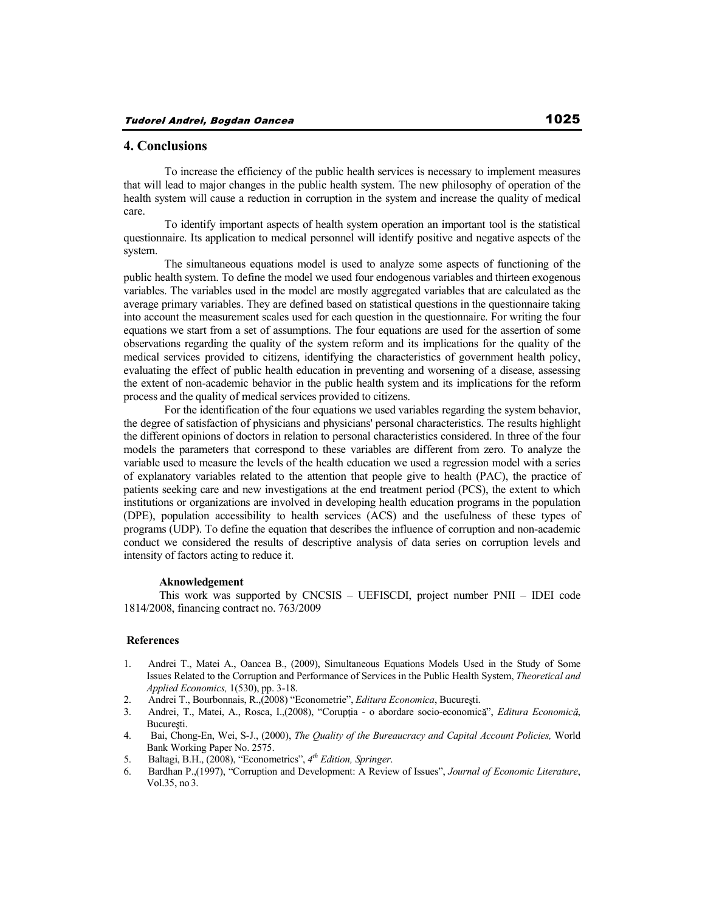#### **4. Conclusions**

 To increase the efficiency of the public health services is necessary to implement measures that will lead to major changes in the public health system. The new philosophy of operation of the health system will cause a reduction in corruption in the system and increase the quality of medical care.

 To identify important aspects of health system operation an important tool is the statistical questionnaire. Its application to medical personnel will identify positive and negative aspects of the system.

 The simultaneous equations model is used to analyze some aspects of functioning of the public health system. To define the model we used four endogenous variables and thirteen exogenous variables. The variables used in the model are mostly aggregated variables that are calculated as the average primary variables. They are defined based on statistical questions in the questionnaire taking into account the measurement scales used for each question in the questionnaire. For writing the four equations we start from a set of assumptions. The four equations are used for the assertion of some observations regarding the quality of the system reform and its implications for the quality of the medical services provided to citizens, identifying the characteristics of government health policy, evaluating the effect of public health education in preventing and worsening of a disease, assessing the extent of non-academic behavior in the public health system and its implications for the reform process and the quality of medical services provided to citizens.

 For the identification of the four equations we used variables regarding the system behavior, the degree of satisfaction of physicians and physicians' personal characteristics. The results highlight the different opinions of doctors in relation to personal characteristics considered. In three of the four models the parameters that correspond to these variables are different from zero. To analyze the variable used to measure the levels of the health education we used a regression model with a series of explanatory variables related to the attention that people give to health (PAC), the practice of patients seeking care and new investigations at the end treatment period (PCS), the extent to which institutions or organizations are involved in developing health education programs in the population (DPE), population accessibility to health services (ACS) and the usefulness of these types of programs (UDP). To define the equation that describes the influence of corruption and non-academic conduct we considered the results of descriptive analysis of data series on corruption levels and intensity of factors acting to reduce it.

#### **Aknowledgement**

 This work was supported by CNCSIS – UEFISCDI, project number PNII – IDEI code 1814/2008, financing contract no. 763/2009

### **References**

- 1. Andrei T., Matei A., Oancea B., (2009), Simultaneous Equations Models Used in the Study of Some Issues Related to the Corruption and Performance of Services in the Public Health System, *Theoretical and Applied Economics,* 1(530), pp. 3-18.
- 2. Andrei T., Bourbonnais, R.,(2008) "Econometrie", *Editura Economica*, Bucuresti.
- 3. Andrei, T., Matei, A., Rosca, I.,(2008), "Coruptia o abordare socio-economică", *Editura Economică*, București.
- 4. Bai, Chong-En, Wei, S-J., (2000), *The Quality of the Bureaucracy and Capital Account Policies,* World Bank Working Paper No. 2575.
- 5. Baltagi, B.H., (2008), "Econometrics", *4 th Edition, Springer*.
- 6. Bardhan P.,(1997), "Corruption and Development: A Review of Issues", *Journal of Economic Literature*, Vol.35, no 3.